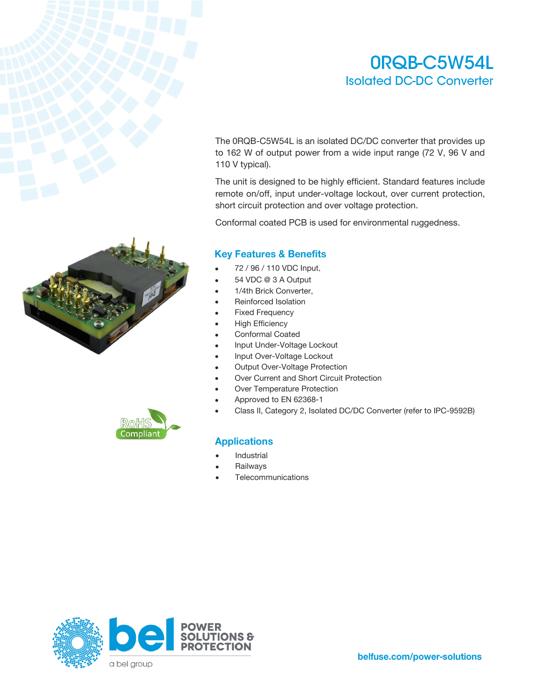### ORQB-C5W54L **Isolated DC-DC Converter**

The 0RQB-C5W54L is an isolated DC/DC converter that provides up to 162 W of output power from a wide input range (72 V, 96 V and 110 V typical).

The unit is designed to be highly efficient. Standard features include remote on/off, input under-voltage lockout, over current protection, short circuit protection and over voltage protection.

Conformal coated PCB is used for environmental ruggedness.

### **Key Features & Benefits**

- 72 / 96 / 110 VDC Input,
- 54 VDC @ 3 A Output
- 1/4th Brick Converter,
- Reinforced Isolation
- **Fixed Frequency**
- **High Efficiency**
- Conformal Coated
- Input Under-Voltage Lockout
- Input Over-Voltage Lockout
- **Output Over-Voltage Protection**
- Over Current and Short Circuit Protection
- Over Temperature Protection
- Approved to EN 62368-1
- Class II, Category 2, Isolated DC/DC Converter (refer to IPC-9592B)

### **Applications**

- **Industrial**
- **Railways**
- **Telecommunications**





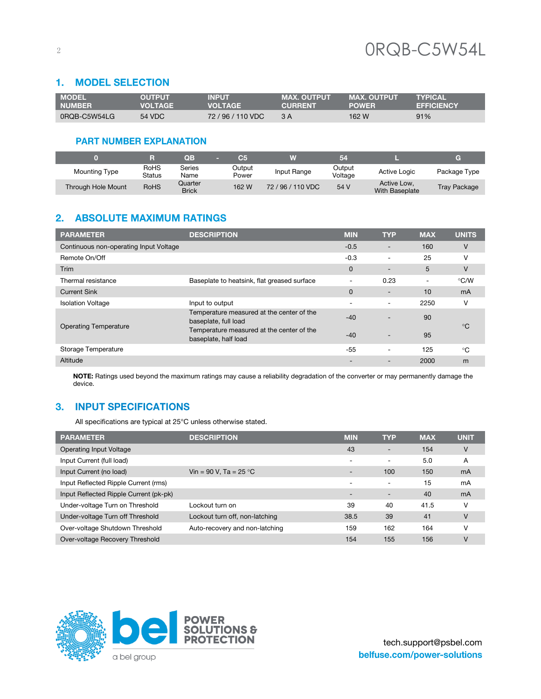#### 1. **MODEL SELECTION**

| <b>MODEL</b>  | <b>OUTPUT</b> | <b>INPUT</b>  | <b>MAX. OUTPUT</b> | <b>MAX. OUTPUT</b> | <b>TYPICAL</b>    |
|---------------|---------------|---------------|--------------------|--------------------|-------------------|
| <b>NUMBER</b> | VOLTAGE       | VOI TAGF      | <b>CURRENT</b>     | <b>POWER</b>       | <b>EFFICIENCY</b> |
| 0RQB-C5W54LG  | 54 VDC        | 72/96/110 VDC | 3 A                | 162 W              | 91%               |

### **PART NUMBER EXPLANATION**

|                           |                | OF                      | C.              |                   | 54                |                               | a                   |
|---------------------------|----------------|-------------------------|-----------------|-------------------|-------------------|-------------------------------|---------------------|
| Mounting Type             | RoHS<br>Status | Series<br>Name          | Output<br>Power | Input Range       | Output<br>Voltage | <b>Active Logic</b>           | Package Type        |
| <b>Through Hole Mount</b> | <b>RoHS</b>    | Quarter<br><b>Brick</b> | 162 W           | 72 / 96 / 110 VDC | 54 V              | Active Low.<br>With Baseplate | <b>Tray Package</b> |

### 2. ABSOLUTE MAXIMUM RATINGS

| <b>PARAMETER</b>                       | <b>DESCRIPTION</b>                                                | <b>MIN</b>               | <b>TYP</b> | <b>MAX</b>               | <b>UNITS</b> |
|----------------------------------------|-------------------------------------------------------------------|--------------------------|------------|--------------------------|--------------|
| Continuous non-operating Input Voltage |                                                                   | $-0.5$                   |            | 160                      | V            |
| Remote On/Off                          |                                                                   | $-0.3$                   |            | 25                       | ν            |
| Trim                                   |                                                                   | $\mathbf{0}$             |            | 5                        | v            |
| Thermal resistance                     | Baseplate to heatsink, flat greased surface                       | $\overline{a}$           | 0.23       | $\overline{\phantom{0}}$ | °C/W         |
| <b>Current Sink</b>                    |                                                                   | $\mathbf{0}$             |            | 10                       | mA           |
| <b>Isolation Voltage</b>               | Input to output                                                   | $\overline{\phantom{0}}$ |            | 2250                     | v            |
| <b>Operating Temperature</b>           | Temperature measured at the center of the<br>baseplate, full load | $-40$                    |            | 90                       | $^{\circ}C$  |
|                                        | Temperature measured at the center of the<br>baseplate, half load | $-40$                    |            | 95                       |              |
| Storage Temperature                    |                                                                   | $-55$                    |            | 125                      | °C           |
| Altitude                               |                                                                   |                          |            | 2000                     | m            |

**NOTE:** Ratings used beyond the maximum ratings may cause a reliability degradation of the converter or may permanently damage the device.

### 3. INPUT SPECIFICATIONS

All specifications are typical at 25°C unless otherwise stated.

| <b>PARAMETER</b>                       | <b>DESCRIPTION</b>             | <b>MIN</b>               | <b>TYP</b>               | <b>MAX</b> | <b>UNIT</b> |
|----------------------------------------|--------------------------------|--------------------------|--------------------------|------------|-------------|
| Operating Input Voltage                |                                | 43                       | $\overline{\phantom{a}}$ | 154        | V           |
| Input Current (full load)              |                                |                          | $\overline{\phantom{a}}$ | 5.0        | A           |
| Input Current (no load)                | Vin = 90 V, Ta = 25 °C         | $\overline{\phantom{0}}$ | 100                      | 150        | mA          |
| Input Reflected Ripple Current (rms)   |                                | $\overline{\phantom{a}}$ | $\overline{\phantom{a}}$ | 15         | mA          |
| Input Reflected Ripple Current (pk-pk) |                                | $\overline{\phantom{0}}$ | $\overline{\phantom{0}}$ | 40         | mA          |
| Under-voltage Turn on Threshold        | Lockout turn on                | 39                       | 40                       | 41.5       | v           |
| Under-voltage Turn off Threshold       | Lockout turn off, non-latching | 38.5                     | 39                       | 41         | v           |
| Over-voltage Shutdown Threshold        | Auto-recovery and non-latching | 159                      | 162                      | 164        | ν           |
| Over-voltage Recovery Threshold        |                                | 154                      | 155                      | 156        | V           |

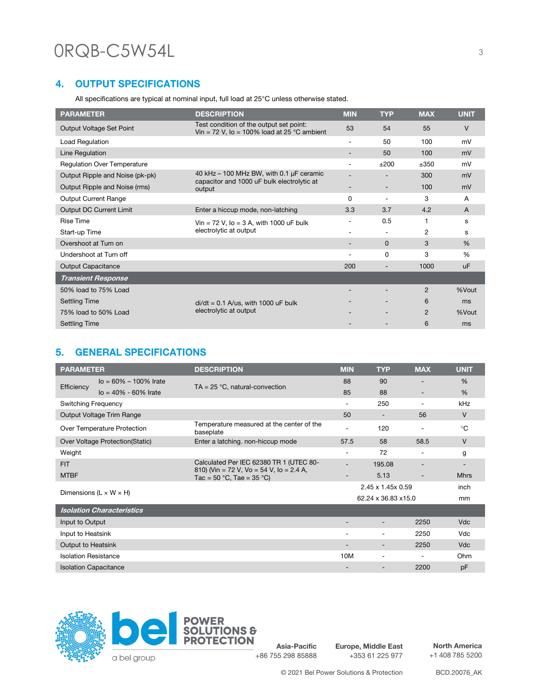### **4. OUTPUT SPECIFICATIONS**

All specifications are typical at nominal input, full load at 25°C unless otherwise stated.

| <b>PARAMETER</b>                   | <b>DESCRIPTION</b>                                                                     | <b>MIN</b>               | <b>TYP</b>               | <b>MAX</b> | <b>UNIT</b> |
|------------------------------------|----------------------------------------------------------------------------------------|--------------------------|--------------------------|------------|-------------|
| Output Voltage Set Point           | Test condition of the output set point:<br>Vin = 72 V, Io = 100% load at 25 °C ambient | 53                       | 54                       | 55         | V           |
| <b>Load Regulation</b>             |                                                                                        | $\overline{\phantom{a}}$ | 50                       | 100        | mV          |
| Line Regulation                    |                                                                                        |                          | 50                       | 100        | mV          |
| <b>Regulation Over Temperature</b> |                                                                                        | $\overline{\phantom{0}}$ | ±200                     | ±350       | mV          |
| Output Ripple and Noise (pk-pk)    | 40 kHz $-$ 100 MHz BW, with 0.1 µF ceramic                                             |                          |                          | 300        | mV          |
| Output Ripple and Noise (rms)      | capacitor and 1000 uF bulk electrolytic at<br>output                                   |                          |                          | 100        | mV          |
| <b>Output Current Range</b>        |                                                                                        | 0                        | $\overline{\phantom{0}}$ | 3          | A           |
| Output DC Current Limit            | Enter a hiccup mode, non-latching                                                      | 3.3                      | 3.7                      | 4.2        | A           |
| <b>Rise Time</b>                   | Vin = $72$ V, Io = $3$ A, with 1000 uF bulk                                            |                          | 0.5                      | 1          | s           |
| Start-up Time                      | electrolytic at output                                                                 |                          | $\overline{\phantom{a}}$ | 2          | s           |
| Overshoot at Turn on               |                                                                                        |                          | $\Omega$                 | 3          | $\%$        |
| Undershoot at Turn off             |                                                                                        | $\overline{\phantom{a}}$ | $\Omega$                 | 3          | %           |
| <b>Output Capacitance</b>          |                                                                                        | 200                      |                          | 1000       | <b>uF</b>   |
| <b>Transient Response</b>          |                                                                                        |                          |                          |            |             |
| 50% load to 75% Load               |                                                                                        |                          |                          | 2          | %Vout       |
| <b>Settling Time</b>               | $di/dt = 0.1$ A/us, with 1000 uF bulk                                                  |                          |                          | 6          | ms          |
| 75% load to 50% Load               | electrolytic at output                                                                 |                          |                          | 2          | %Vout       |
| <b>Settling Time</b>               |                                                                                        |                          |                          | 6          | ms          |

### 5. GENERAL SPECIFICATIONS

| <b>PARAMETER</b>                         | <b>DESCRIPTION</b>                                                    | <b>MIN</b>               | <b>TYP</b>               | <b>MAX</b> | <b>UNIT</b> |
|------------------------------------------|-----------------------------------------------------------------------|--------------------------|--------------------------|------------|-------------|
| $I_o = 60\% - 100\%$ Irate<br>Efficiency | $TA = 25 °C$ , natural-convection                                     | 88                       | 90                       |            | %           |
| $I_0 = 40\% - 60\%$ Irate                |                                                                       | 85                       | 88                       |            | %           |
| Switching Frequency                      |                                                                       | $\overline{\phantom{0}}$ | 250                      |            | kHz         |
| Output Voltage Trim Range                |                                                                       | 50                       | $\overline{\phantom{0}}$ | 56         | V           |
| Over Temperature Protection              | Temperature measured at the center of the<br>baseplate                | $\overline{a}$           | 120                      |            | $^{\circ}C$ |
| Over Voltage Protection (Static)         | Enter a latching. non-hiccup mode                                     | 57.5                     | 58                       | 58.5       | V           |
| Weight                                   |                                                                       | $\overline{\phantom{a}}$ | 72                       |            | g           |
| <b>FIT</b>                               | Calculated Per IEC 62380 TR 1 (UTEC 80-                               | $\overline{a}$           | 195.08                   |            |             |
| <b>MTBF</b>                              | 810) (Vin = 72 V, Vo = 54 V, Io = 2.4 A,<br>Tac = 50 °C, Tae = 35 °C) |                          | 5.13                     |            | <b>Mhrs</b> |
|                                          |                                                                       |                          | 2.45 x 1.45 x 0.59       |            | inch        |
| Dimensions ( $L \times W \times H$ )     |                                                                       | 62.24 x 36.83 x 15.0     | mm                       |            |             |
| <b>Isolation Characteristics</b>         |                                                                       |                          |                          |            |             |
| Input to Output                          |                                                                       |                          |                          | 2250       | <b>Vdc</b>  |
| Input to Heatsink                        |                                                                       |                          |                          | 2250       | Vdc         |
| Output to Heatsink                       |                                                                       |                          |                          | 2250       | <b>Vdc</b>  |
| <b>Isolation Resistance</b>              |                                                                       | 10M                      |                          |            | Ohm         |
| <b>Isolation Capacitance</b>             |                                                                       |                          |                          | 2200       | pF          |



**Asia-Pacific** +86 755 298 85888

**Europe, Middle East** +353 61 225 977

**North America** +1 408 785 5200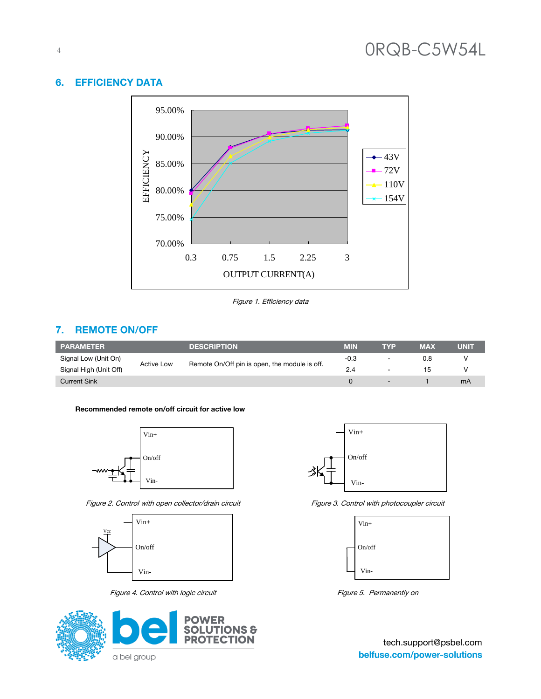# 4

#### 6. **EFFICIENCY DATA**



Figure 1. Efficiency data

### 7. REMOTE ON/OFF

| <b>PARAMETER</b>       |                   | <b>DESCRIPTION</b>                            | MIN    | TYP                      | <b>MAX</b> | UNIT |
|------------------------|-------------------|-----------------------------------------------|--------|--------------------------|------------|------|
| Signal Low (Unit On)   | <b>Active Low</b> | Remote On/Off pin is open, the module is off. | $-0.3$ | $\overline{\phantom{0}}$ | 0.8        |      |
| Signal High (Unit Off) |                   |                                               | 2.4    | $\overline{\phantom{a}}$ | 15         |      |
| <b>Current Sink</b>    |                   |                                               |        |                          |            | mA   |

#### **Recommended remote on/off circuit for active low**



Figure 2. Control with open collector/drain circuit Figure 3. Control with photocoupler circuit



Figure 4. Control with logic circuit Figure 5. Permanently on







tech.support@psbel.com belfuse.com/power-solutions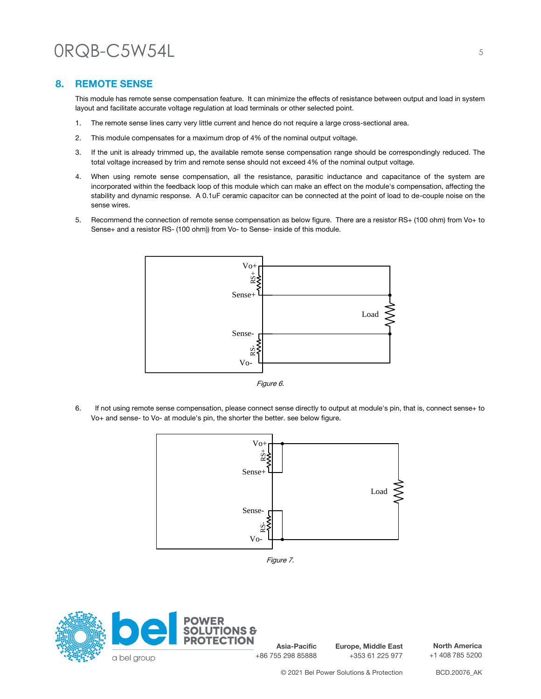### **8. REMOTE SENSE**

This module has remote sense compensation feature. It can minimize the effects of resistance between output and load in system layout and facilitate accurate voltage regulation at load terminals or other selected point.

- 1. The remote sense lines carry very little current and hence do not require a large cross-sectional area.
- 2. This module compensates for a maximum drop of 4% of the nominal output voltage.
- 3. If the unit is already trimmed up, the available remote sense compensation range should be correspondingly reduced. The total voltage increased by trim and remote sense should not exceed 4% of the nominal output voltage.
- 4. When using remote sense compensation, all the resistance, parasitic inductance and capacitance of the system are incorporated within the feedback loop of this module which can make an effect on the module's compensation, affecting the stability and dynamic response. A 0.1uF ceramic capacitor can be connected at the point of load to de-couple noise on the sense wires.
- 5. Recommend the connection of remote sense compensation as below figure. There are a resistor RS+ (100 ohm) from Vo+ to Sense+ and a resistor RS- (100 ohm)) from Vo- to Sense- inside of this module.



Figure 6.

6. If not using remote sense compensation, please connect sense directly to output at module's pin, that is, connect sense+ to Vo+ and sense- to Vo- at module's pin, the shorter the better. see below figure.



Figure 7.



**Europe, Middle East** +353 61 225 977

**North America** +1 408 785 5200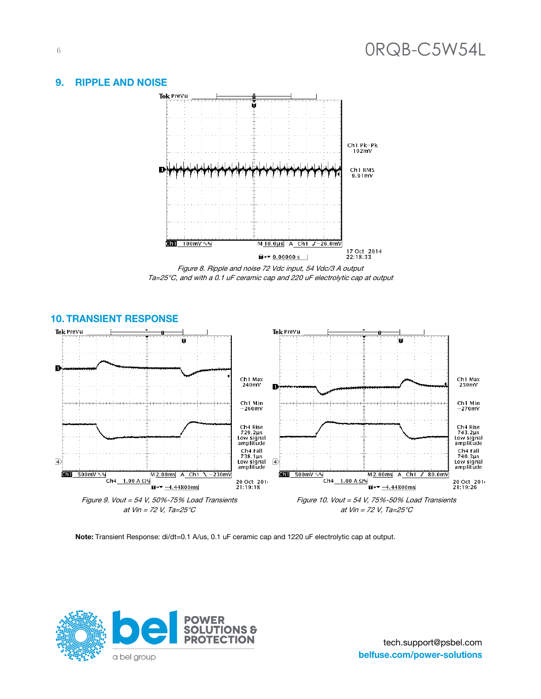#### **RIPPLE AND NOISE**  $9.$



Figure 8. Ripple and noise 72 Vdc input, 54 Vdc/3 A output Ta=25°C, and with a 0.1 uF ceramic cap and 220 uF electrolytic cap at output



### **10. TRANSIENT RESPONSE**

**Note:** Transient Response: di/dt=0.1 A/us, 0.1 uF ceramic cap and 1220 uF electrolytic cap at output.

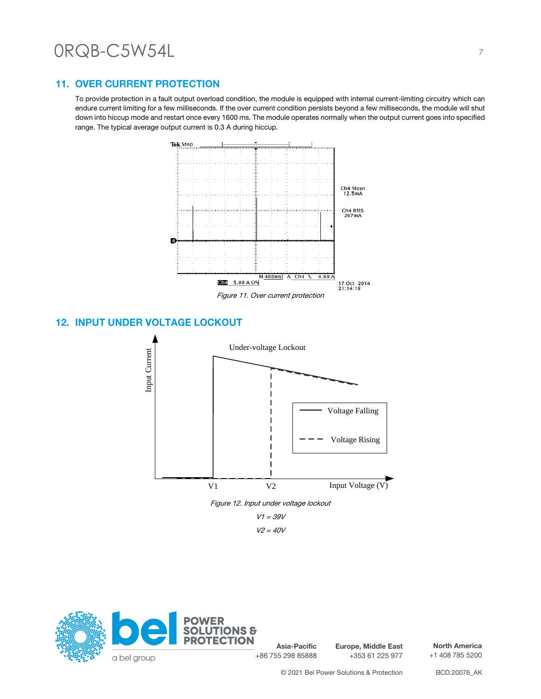### **11. OVER CURRENT PROTECTION**

To provide protection in a fault output overload condition, the module is equipped with internal current-limiting circuitry which can endure current limiting for a few milliseconds. If the over current condition persists beyond a few milliseconds, the module will shut down into hiccup mode and restart once every 1600 ms. The module operates normally when the output current goes into specified range. The typical average output current is 0.3 A during hiccup.



Figure 11. Over current protection

### **12. INPUT UNDER VOLTAGE LOCKOUT**



 $V2 = 40V$ 



**Asia-Pacific** +86 755 298 85888

**Europe, Middle East** +353 61 225 977

**North America** +1 408 785 5200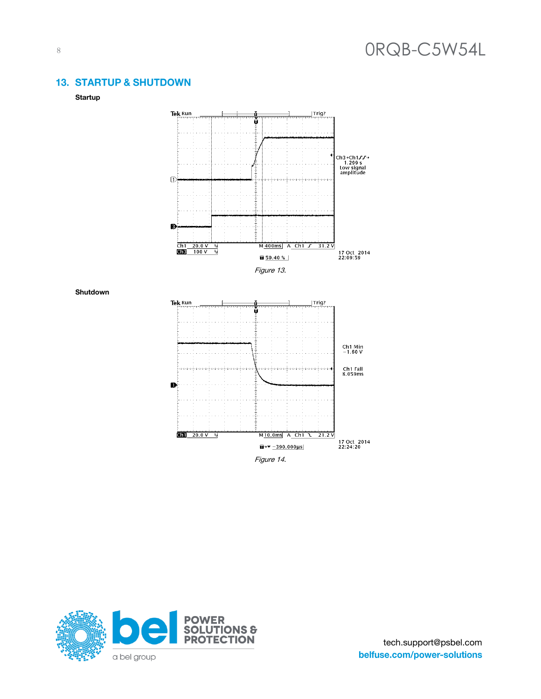### **13. STARTUP & SHUTDOWN**



**Shutdown**



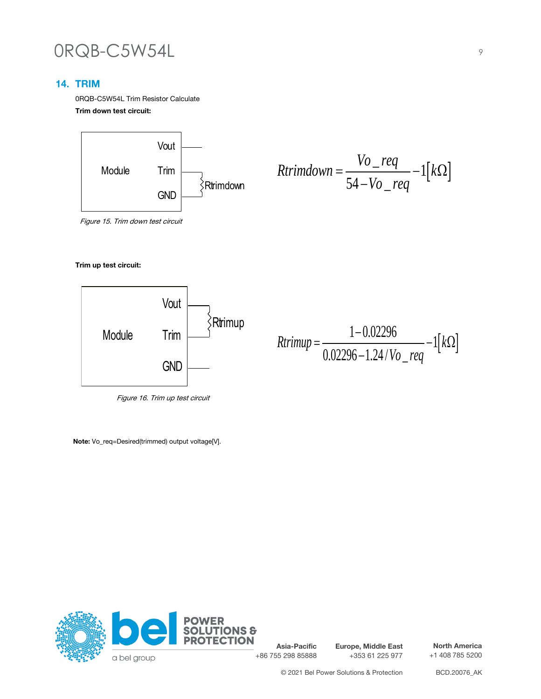### **14. TRIM**

0RQB-C5W54L Trim Resistor Calculate **Trim down test circuit:**



$$
Rtrimdown = \frac{Vo_{\text{req}}}{54 - Vo_{\text{req}}} - 1[k\Omega]
$$

Figure 15. Trim down test circuit

#### **Trim up test circuit:**



Figure 16. Trim up test circuit

**Note:** Vo\_req=Desired(trimmed) output voltage[V].



**Asia-Pacific** +86 755 298 85888 **Europe, Middle East** +353 61 225 977

**North America** +1 408 785 5200

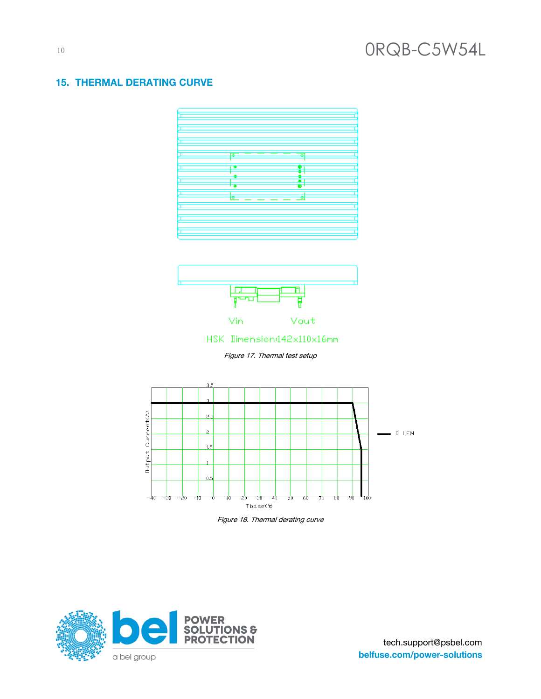### **15. THERMAL DERATING CURVE**





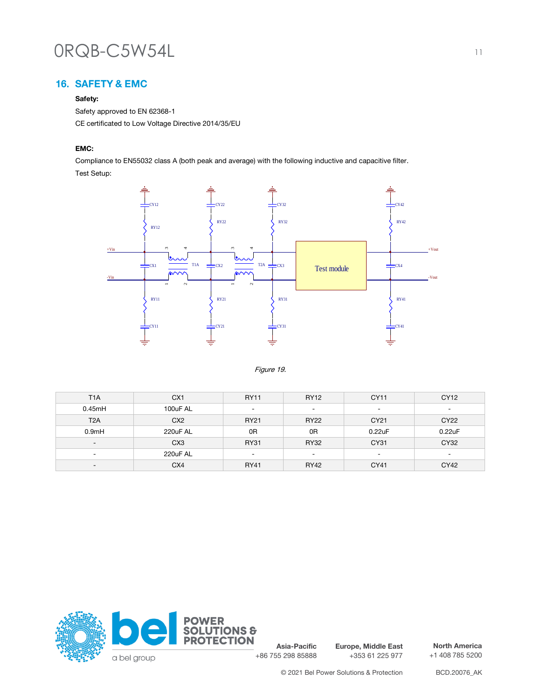### 16. SAFETY & EMC

#### **Safety:**

Safety approved to EN 62368-1 CE certificated to Low Voltage Directive 2014/35/EU

#### **EMC:**

Compliance to EN55032 class A (both peak and average) with the following inductive and capacitive filter. Test Setup:



Figure 19.

| T <sub>1</sub> A         | CX <sub>1</sub> | <b>RY11</b>              | <b>RY12</b>              | CY11                     | CY12                     |
|--------------------------|-----------------|--------------------------|--------------------------|--------------------------|--------------------------|
| 0.45mH                   | 100uF AL        | $\overline{\phantom{a}}$ | $\overline{\phantom{a}}$ | $\overline{\phantom{a}}$ | $\overline{\phantom{0}}$ |
| T <sub>2</sub> A         | CX <sub>2</sub> | <b>RY21</b>              | <b>RY22</b>              | CY21                     | CY22                     |
| 0.9 <sub>m</sub> H       | 220uF AL        | 0R                       | 0R                       | 0.22uF                   | 0.22uF                   |
| $\overline{\phantom{a}}$ | CX <sub>3</sub> | <b>RY31</b>              | <b>RY32</b>              | CY31                     | CY32                     |
| $\overline{\phantom{a}}$ | 220uF AL        | $\overline{\phantom{0}}$ | $\overline{\phantom{a}}$ | $\overline{\phantom{0}}$ | $\overline{\phantom{0}}$ |
| $\overline{\phantom{a}}$ | CX4             | <b>RY41</b>              | <b>RY42</b>              | CY41                     | CY42                     |



**Asia-Pacific** +86 755 298 85888

**Europe, Middle East** +353 61 225 977

**North America** +1 408 785 5200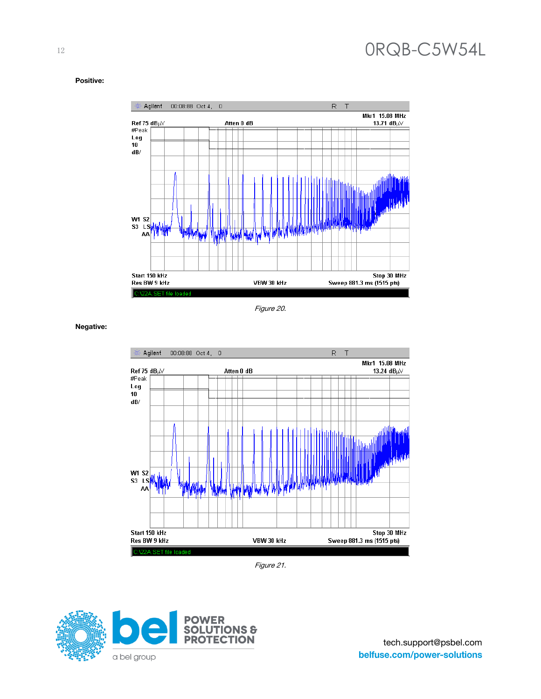#### **Positive:**



Figure 20.

**Negative:**



Figure 21.

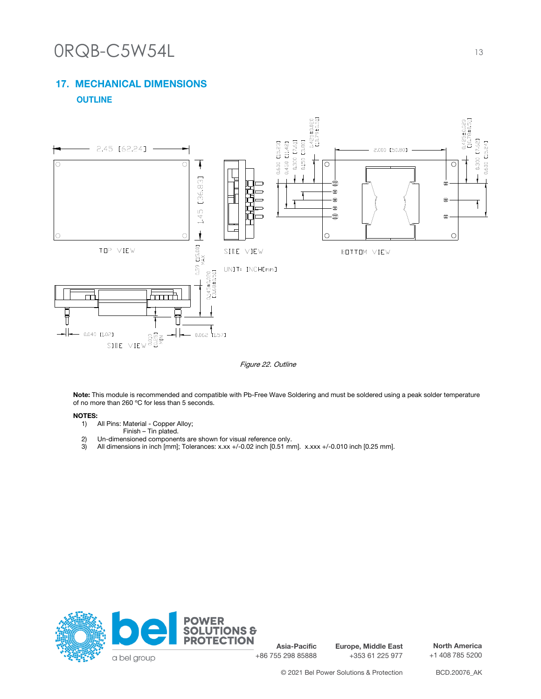### **17. MECHANICAL DIMENSIONS OUTLINE**



Figure 22. Outline

**Note:** This module is recommended and compatible with Pb-Free Wave Soldering and must be soldered using a peak solder temperature of no more than 260 ºC for less than 5 seconds.

#### **NOTES:**

- 1) All Pins: Material Copper Alloy;
- Finish Tin plated.
- 2) Un-dimensioned components are shown for visual reference only.
- 3) All dimensions in inch [mm]; Tolerances: x.xx +/-0.02 inch [0.51 mm]. x.xxx +/-0.010 inch [0.25 mm].



**Asia-Pacific** +86 755 298 85888

**Europe, Middle East** +353 61 225 977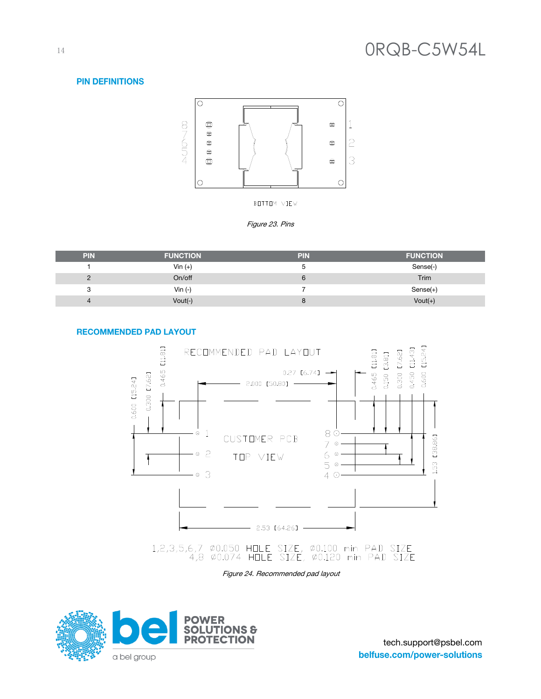#### **PIN DEFINITIONS**



BOTTOM VIEW



| <b>PIN</b>     | <b>FUNCTION</b> | <b>PIN</b> | <b>FUNCTION</b> |
|----------------|-----------------|------------|-----------------|
|                | Vin $(+)$       |            | Sense(-)        |
|                | On/off          |            | Trim            |
|                | Vin $(-)$       |            | $Sense(+)$      |
| $\overline{a}$ | Vout(-)         |            | $Vout(+)$       |

#### **RECOMMENDED PAD LAYOUT**



Figure 24. Recommended pad layout